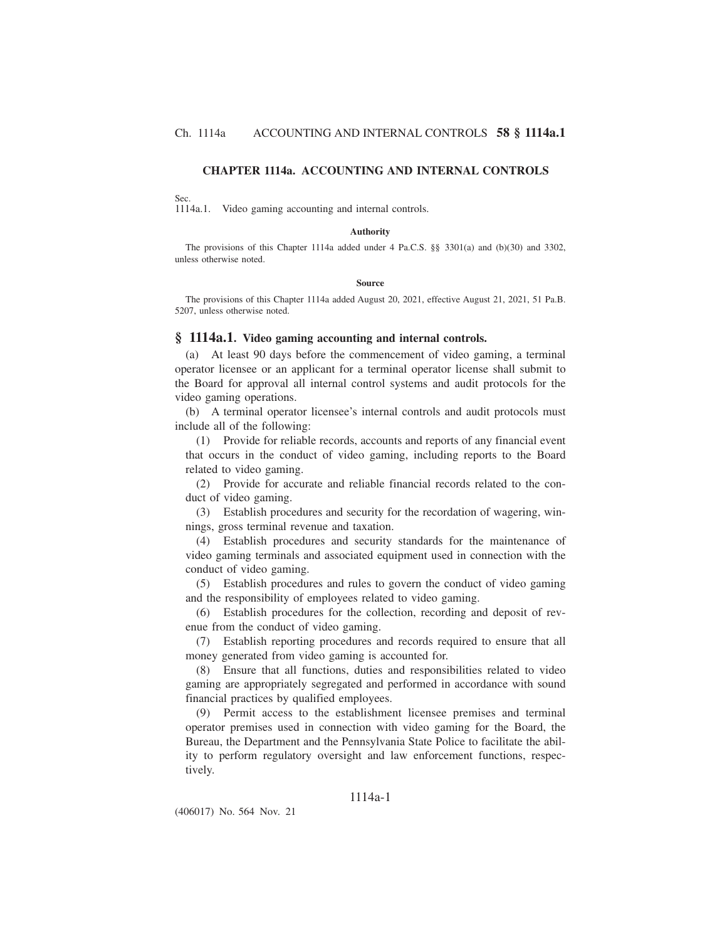# **CHAPTER 1114a. ACCOUNTING AND INTERNAL CONTROLS**

### Sec.

1114a.1. Video gaming accounting and internal controls.

#### **Authority**

The provisions of this Chapter 1114a added under 4 Pa.C.S. §§ 3301(a) and (b)(30) and 3302, unless otherwise noted.

#### **Source**

The provisions of this Chapter 1114a added August 20, 2021, effective August 21, 2021, 51 Pa.B. 5207, unless otherwise noted.

#### **§ 1114a.1. Video gaming accounting and internal controls.**

(a) At least 90 days before the commencement of video gaming, a terminal operator licensee or an applicant for a terminal operator license shall submit to the Board for approval all internal control systems and audit protocols for the video gaming operations.

(b) A terminal operator licensee's internal controls and audit protocols must include all of the following:

(1) Provide for reliable records, accounts and reports of any financial event that occurs in the conduct of video gaming, including reports to the Board related to video gaming.

(2) Provide for accurate and reliable financial records related to the conduct of video gaming.

(3) Establish procedures and security for the recordation of wagering, winnings, gross terminal revenue and taxation.

(4) Establish procedures and security standards for the maintenance of video gaming terminals and associated equipment used in connection with the conduct of video gaming.

(5) Establish procedures and rules to govern the conduct of video gaming and the responsibility of employees related to video gaming.

(6) Establish procedures for the collection, recording and deposit of revenue from the conduct of video gaming.

(7) Establish reporting procedures and records required to ensure that all money generated from video gaming is accounted for.

(8) Ensure that all functions, duties and responsibilities related to video gaming are appropriately segregated and performed in accordance with sound financial practices by qualified employees.

(9) Permit access to the establishment licensee premises and terminal operator premises used in connection with video gaming for the Board, the Bureau, the Department and the Pennsylvania State Police to facilitate the ability to perform regulatory oversight and law enforcement functions, respectively.

# 1114a-1

(406017) No. 564 Nov. 21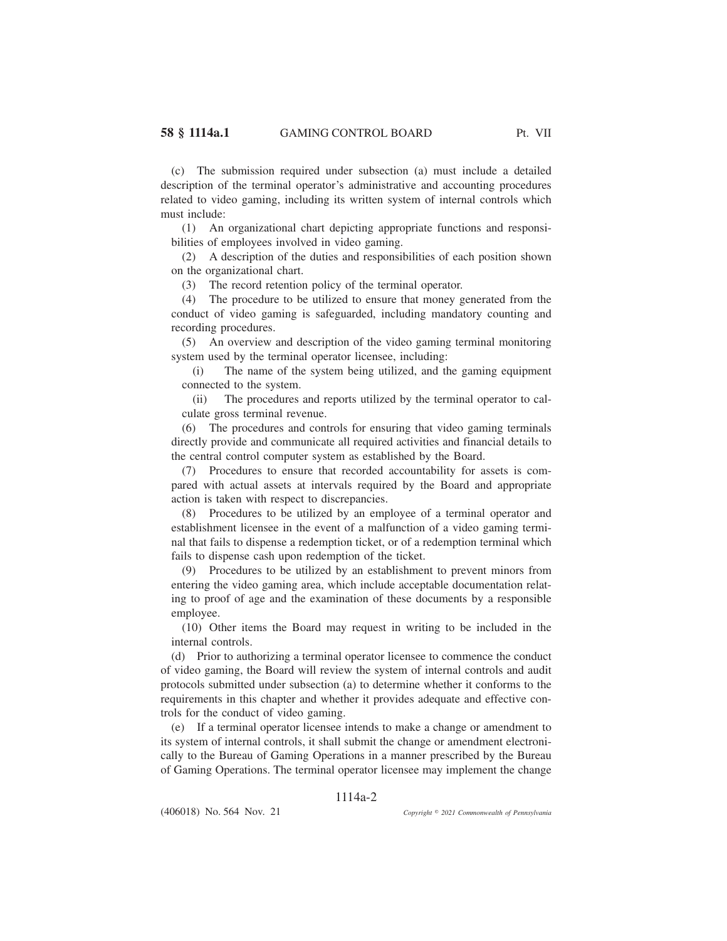(c) The submission required under subsection (a) must include a detailed description of the terminal operator's administrative and accounting procedures related to video gaming, including its written system of internal controls which must include:

(1) An organizational chart depicting appropriate functions and responsibilities of employees involved in video gaming.

(2) A description of the duties and responsibilities of each position shown on the organizational chart.

(3) The record retention policy of the terminal operator.

(4) The procedure to be utilized to ensure that money generated from the conduct of video gaming is safeguarded, including mandatory counting and recording procedures.

(5) An overview and description of the video gaming terminal monitoring system used by the terminal operator licensee, including:

(i) The name of the system being utilized, and the gaming equipment connected to the system.

(ii) The procedures and reports utilized by the terminal operator to calculate gross terminal revenue.

(6) The procedures and controls for ensuring that video gaming terminals directly provide and communicate all required activities and financial details to the central control computer system as established by the Board.

(7) Procedures to ensure that recorded accountability for assets is compared with actual assets at intervals required by the Board and appropriate action is taken with respect to discrepancies.

(8) Procedures to be utilized by an employee of a terminal operator and establishment licensee in the event of a malfunction of a video gaming terminal that fails to dispense a redemption ticket, or of a redemption terminal which fails to dispense cash upon redemption of the ticket.

(9) Procedures to be utilized by an establishment to prevent minors from entering the video gaming area, which include acceptable documentation relating to proof of age and the examination of these documents by a responsible employee.

(10) Other items the Board may request in writing to be included in the internal controls.

(d) Prior to authorizing a terminal operator licensee to commence the conduct of video gaming, the Board will review the system of internal controls and audit protocols submitted under subsection (a) to determine whether it conforms to the requirements in this chapter and whether it provides adequate and effective controls for the conduct of video gaming.

(e) If a terminal operator licensee intends to make a change or amendment to its system of internal controls, it shall submit the change or amendment electronically to the Bureau of Gaming Operations in a manner prescribed by the Bureau of Gaming Operations. The terminal operator licensee may implement the change

# 1114a-2

(406018) No. 564 Nov. 21

*2021 Commonwealth of Pennsylvania*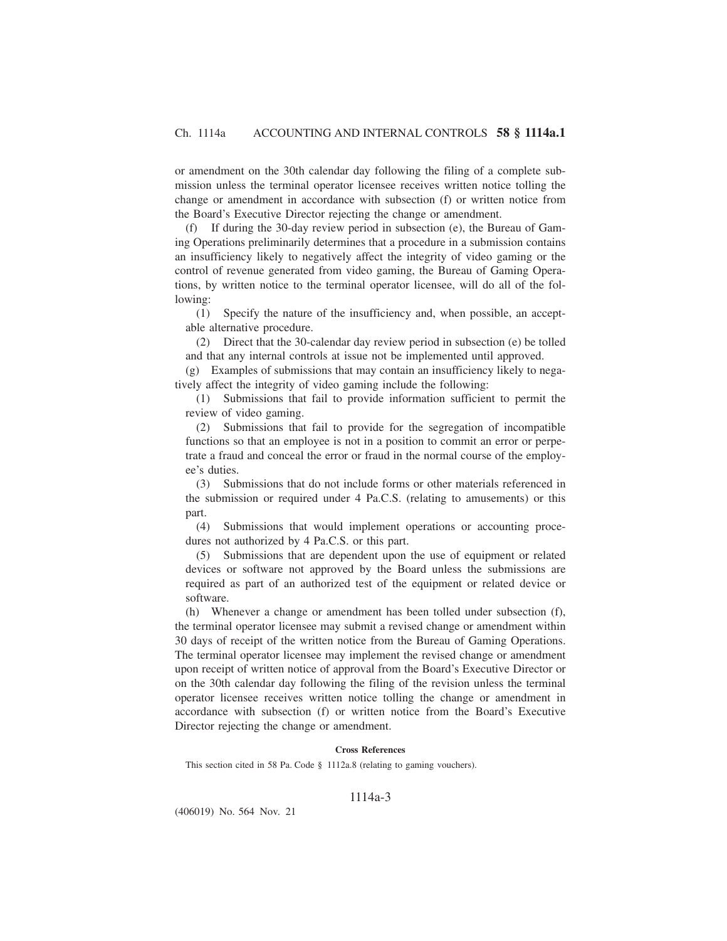or amendment on the 30th calendar day following the filing of a complete submission unless the terminal operator licensee receives written notice tolling the change or amendment in accordance with subsection (f) or written notice from the Board's Executive Director rejecting the change or amendment.

(f) If during the 30-day review period in subsection (e), the Bureau of Gaming Operations preliminarily determines that a procedure in a submission contains an insufficiency likely to negatively affect the integrity of video gaming or the control of revenue generated from video gaming, the Bureau of Gaming Operations, by written notice to the terminal operator licensee, will do all of the following:

(1) Specify the nature of the insufficiency and, when possible, an acceptable alternative procedure.

(2) Direct that the 30-calendar day review period in subsection (e) be tolled and that any internal controls at issue not be implemented until approved.

(g) Examples of submissions that may contain an insufficiency likely to negatively affect the integrity of video gaming include the following:

(1) Submissions that fail to provide information sufficient to permit the review of video gaming.

(2) Submissions that fail to provide for the segregation of incompatible functions so that an employee is not in a position to commit an error or perpetrate a fraud and conceal the error or fraud in the normal course of the employee's duties.

(3) Submissions that do not include forms or other materials referenced in the submission or required under 4 Pa.C.S. (relating to amusements) or this part.

(4) Submissions that would implement operations or accounting procedures not authorized by 4 Pa.C.S. or this part.

(5) Submissions that are dependent upon the use of equipment or related devices or software not approved by the Board unless the submissions are required as part of an authorized test of the equipment or related device or software.

(h) Whenever a change or amendment has been tolled under subsection (f), the terminal operator licensee may submit a revised change or amendment within 30 days of receipt of the written notice from the Bureau of Gaming Operations. The terminal operator licensee may implement the revised change or amendment upon receipt of written notice of approval from the Board's Executive Director or on the 30th calendar day following the filing of the revision unless the terminal operator licensee receives written notice tolling the change or amendment in accordance with subsection (f) or written notice from the Board's Executive Director rejecting the change or amendment.

### **Cross References**

This section cited in 58 Pa. Code § 1112a.8 (relating to gaming vouchers).

### 1114a-3

(406019) No. 564 Nov. 21